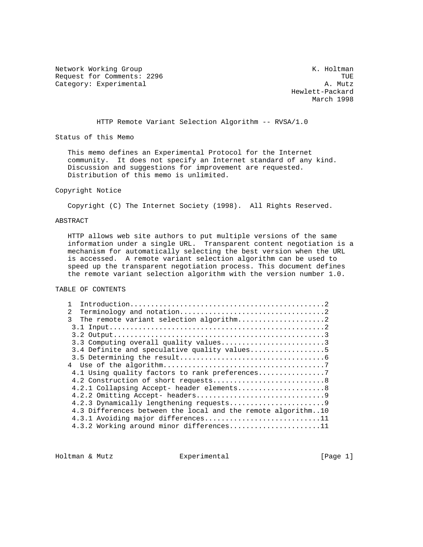Network Working Group Network Working Group Request for Comments: 2296 TUE (The Second Second Second Second Second Second Second Second Second Second Second Second Second Second Second Second Second Second Second Second Second Second Second Second Second Second Seco Category: Experimental

 Hewlett-Packard March 1998

HTTP Remote Variant Selection Algorithm -- RVSA/1.0

Status of this Memo

 This memo defines an Experimental Protocol for the Internet community. It does not specify an Internet standard of any kind. Discussion and suggestions for improvement are requested. Distribution of this memo is unlimited.

#### Copyright Notice

Copyright (C) The Internet Society (1998). All Rights Reserved.

# ABSTRACT

 HTTP allows web site authors to put multiple versions of the same information under a single URL. Transparent content negotiation is a mechanism for automatically selecting the best version when the URL is accessed. A remote variant selection algorithm can be used to speed up the transparent negotiation process. This document defines the remote variant selection algorithm with the version number 1.0.

TABLE OF CONTENTS

| $\mathcal{L}$                                                |
|--------------------------------------------------------------|
| ς                                                            |
|                                                              |
|                                                              |
| 3.3 Computing overall quality values3                        |
| 3.4 Definite and speculative quality values5                 |
|                                                              |
|                                                              |
|                                                              |
|                                                              |
| 4.2.1 Collapsing Accept- header elements8                    |
|                                                              |
|                                                              |
| 4.3 Differences between the local and the remote algorithm10 |
| 4.3.1 Avoiding major differences11                           |
| 4.3.2 Working around minor differences11                     |

Holtman & Mutz  $\qquad \qquad$  Experimental  $\qquad \qquad$  [Page 1]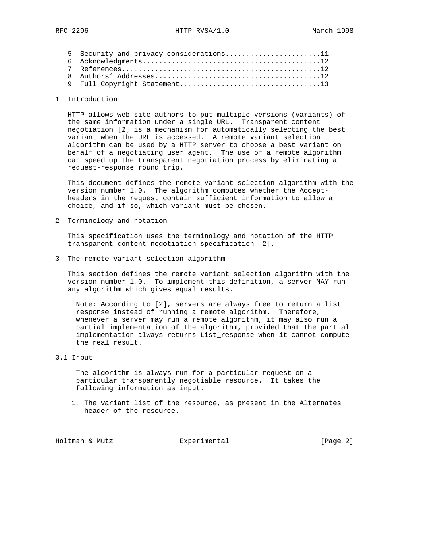| 5 Security and privacy considerations11 |
|-----------------------------------------|
|                                         |
|                                         |
|                                         |
|                                         |

#### 1 Introduction

 HTTP allows web site authors to put multiple versions (variants) of the same information under a single URL. Transparent content negotiation [2] is a mechanism for automatically selecting the best variant when the URL is accessed. A remote variant selection algorithm can be used by a HTTP server to choose a best variant on behalf of a negotiating user agent. The use of a remote algorithm can speed up the transparent negotiation process by eliminating a request-response round trip.

 This document defines the remote variant selection algorithm with the version number 1.0. The algorithm computes whether the Accept headers in the request contain sufficient information to allow a choice, and if so, which variant must be chosen.

2 Terminology and notation

 This specification uses the terminology and notation of the HTTP transparent content negotiation specification [2].

3 The remote variant selection algorithm

 This section defines the remote variant selection algorithm with the version number 1.0. To implement this definition, a server MAY run any algorithm which gives equal results.

 Note: According to [2], servers are always free to return a list response instead of running a remote algorithm. Therefore, whenever a server may run a remote algorithm, it may also run a partial implementation of the algorithm, provided that the partial implementation always returns List\_response when it cannot compute the real result.

3.1 Input

 The algorithm is always run for a particular request on a particular transparently negotiable resource. It takes the following information as input.

 1. The variant list of the resource, as present in the Alternates header of the resource.

Holtman & Mutz **Experimental** Experimental [Page 2]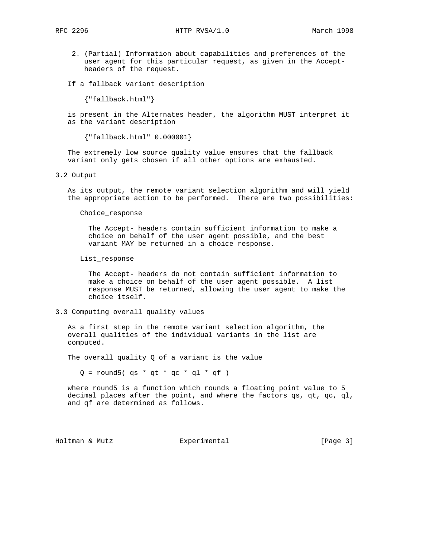- 2. (Partial) Information about capabilities and preferences of the user agent for this particular request, as given in the Accept headers of the request.
- If a fallback variant description

{"fallback.html"}

 is present in the Alternates header, the algorithm MUST interpret it as the variant description

{"fallback.html" 0.000001}

 The extremely low source quality value ensures that the fallback variant only gets chosen if all other options are exhausted.

3.2 Output

 As its output, the remote variant selection algorithm and will yield the appropriate action to be performed. There are two possibilities:

Choice\_response

 The Accept- headers contain sufficient information to make a choice on behalf of the user agent possible, and the best variant MAY be returned in a choice response.

List\_response

 The Accept- headers do not contain sufficient information to make a choice on behalf of the user agent possible. A list response MUST be returned, allowing the user agent to make the choice itself.

#### 3.3 Computing overall quality values

 As a first step in the remote variant selection algorithm, the overall qualities of the individual variants in the list are computed.

The overall quality Q of a variant is the value

 $Q =$  round5( qs \* qt \* qc \* ql \* qf )

 where round5 is a function which rounds a floating point value to 5 decimal places after the point, and where the factors qs, qt, qc, ql, and qf are determined as follows.

Holtman & Mutz Experimental [Page 3]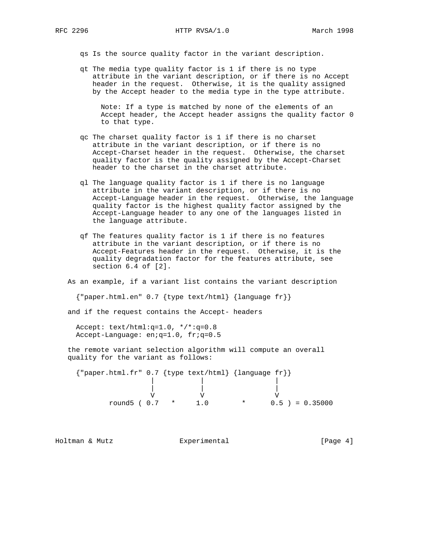qs Is the source quality factor in the variant description.

 qt The media type quality factor is 1 if there is no type attribute in the variant description, or if there is no Accept header in the request. Otherwise, it is the quality assigned by the Accept header to the media type in the type attribute.

 Note: If a type is matched by none of the elements of an Accept header, the Accept header assigns the quality factor 0 to that type.

- qc The charset quality factor is 1 if there is no charset attribute in the variant description, or if there is no Accept-Charset header in the request. Otherwise, the charset quality factor is the quality assigned by the Accept-Charset header to the charset in the charset attribute.
- ql The language quality factor is 1 if there is no language attribute in the variant description, or if there is no Accept-Language header in the request. Otherwise, the language quality factor is the highest quality factor assigned by the Accept-Language header to any one of the languages listed in the language attribute.
- qf The features quality factor is 1 if there is no features attribute in the variant description, or if there is no Accept-Features header in the request. Otherwise, it is the quality degradation factor for the features attribute, see section 6.4 of [2].

As an example, if a variant list contains the variant description

{"paper.html.en" 0.7 {type text/html} {language fr}}

and if the request contains the Accept- headers

 Accept: text/html:q=1.0, \*/\*:q=0.8 Accept-Language: en;q=1.0, fr;q=0.5

 the remote variant selection algorithm will compute an overall quality for the variant as follows:

 {"paper.html.fr" 0.7 {type text/html} {language fr}} | | | | | | V V V round5 ( 0.7 \* 1.0 \* 0.5 ) = 0.35000

Holtman & Mutz Experimental [Page 4]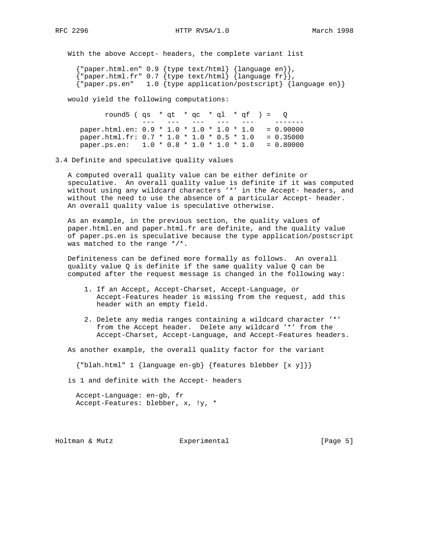With the above Accept- headers, the complete variant list

 {"paper.html.en" 0.9 {type text/html} {language en}},  ${[$  "paper.html.fr" 0.7  ${[type text/htm1]}$   ${[language fr)]}$ , {"paper.ps.en" 1.0 {type application/postscript} {language en}}

would yield the following computations:

round5 (  $qs * qt * qc * q1 * qf ) = Q$  --- --- --- --- --- ------ paper.html.en: 0.9 \* 1.0 \* 1.0 \* 1.0 \* 1.0 = 0.90000 paper.html.fr:  $0.7 * 1.0 * 1.0 * 0.5 * 1.0 = 0.35000$ paper.ps.en:  $1.0 * 0.8 * 1.0 * 1.0 * 1.0 = 0.80000$ 

3.4 Definite and speculative quality values

 A computed overall quality value can be either definite or speculative. An overall quality value is definite if it was computed without using any wildcard characters '\*' in the Accept- headers, and without the need to use the absence of a particular Accept- header. An overall quality value is speculative otherwise.

 As an example, in the previous section, the quality values of paper.html.en and paper.html.fr are definite, and the quality value of paper.ps.en is speculative because the type application/postscript was matched to the range \*/\*.

 Definiteness can be defined more formally as follows. An overall quality value Q is definite if the same quality value Q can be computed after the request message is changed in the following way:

- 1. If an Accept, Accept-Charset, Accept-Language, or Accept-Features header is missing from the request, add this header with an empty field.
- 2. Delete any media ranges containing a wildcard character '\*' from the Accept header. Delete any wildcard '\*' from the Accept-Charset, Accept-Language, and Accept-Features headers.

As another example, the overall quality factor for the variant

{"blah.html" 1 {language en-gb} {features blebber [x y]}}

is 1 and definite with the Accept- headers

 Accept-Language: en-gb, fr Accept-Features: blebber, x, !y, \*

Holtman & Mutz Experimental [Page 5]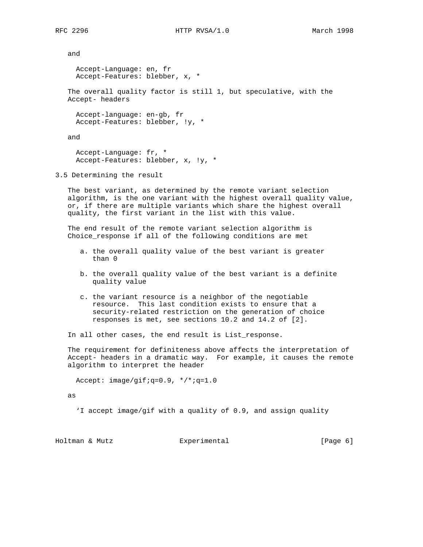and Accept-Language: en, fr Accept-Features: blebber, x, \* The overall quality factor is still 1, but speculative, with the Accept- headers Accept-language: en-gb, fr Accept-Features: blebber, !y, \* and Accept-Language: fr, \* Accept-Features: blebber, x, !y, \* 3.5 Determining the result The best variant, as determined by the remote variant selection algorithm, is the one variant with the highest overall quality value, or, if there are multiple variants which share the highest overall quality, the first variant in the list with this value. The end result of the remote variant selection algorithm is Choice\_response if all of the following conditions are met a. the overall quality value of the best variant is greater than 0 b. the overall quality value of the best variant is a definite quality value c. the variant resource is a neighbor of the negotiable resource. This last condition exists to ensure that a security-related restriction on the generation of choice responses is met, see sections 10.2 and 14.2 of [2]. In all other cases, the end result is List\_response. The requirement for definiteness above affects the interpretation of Accept- headers in a dramatic way. For example, it causes the remote algorithm to interpret the header Accept: image/gif;q=0.9, \*/\*;q=1.0 as 'I accept image/gif with a quality of 0.9, and assign quality

Holtman & Mutz  $\text{Experiment}$  [Page 6]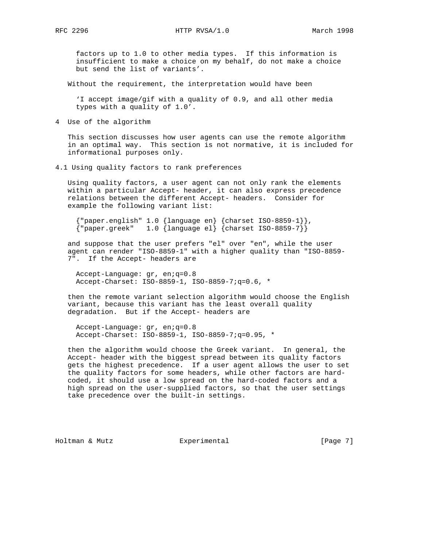factors up to 1.0 to other media types. If this information is insufficient to make a choice on my behalf, do not make a choice but send the list of variants'.

Without the requirement, the interpretation would have been

 'I accept image/gif with a quality of 0.9, and all other media types with a quality of 1.0'.

4 Use of the algorithm

 This section discusses how user agents can use the remote algorithm in an optimal way. This section is not normative, it is included for informational purposes only.

4.1 Using quality factors to rank preferences

 Using quality factors, a user agent can not only rank the elements within a particular Accept- header, it can also express precedence relations between the different Accept- headers. Consider for example the following variant list:

 {"paper.english" 1.0 {language en} {charset ISO-8859-1}}, {"paper.greek" 1.0 {language el} {charset ISO-8859-7}}

 and suppose that the user prefers "el" over "en", while the user agent can render "ISO-8859-1" with a higher quality than "ISO-8859- 7". If the Accept- headers are

 Accept-Language: gr, en;q=0.8 Accept-Charset: ISO-8859-1, ISO-8859-7;q=0.6, \*

 then the remote variant selection algorithm would choose the English variant, because this variant has the least overall quality degradation. But if the Accept- headers are

 Accept-Language: gr, en;q=0.8 Accept-Charset: ISO-8859-1, ISO-8859-7;q=0.95, \*

 then the algorithm would choose the Greek variant. In general, the Accept- header with the biggest spread between its quality factors gets the highest precedence. If a user agent allows the user to set the quality factors for some headers, while other factors are hard coded, it should use a low spread on the hard-coded factors and a high spread on the user-supplied factors, so that the user settings take precedence over the built-in settings.

Holtman & Mutz  $\text{Experimental}$  [Page 7]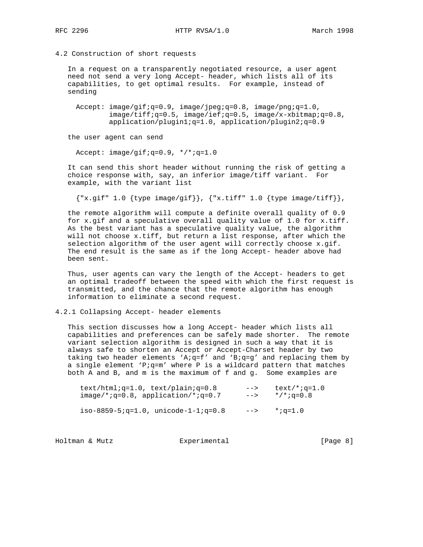RFC 2296 **HTTP RVSA/1.0** March 1998

#### 4.2 Construction of short requests

 In a request on a transparently negotiated resource, a user agent need not send a very long Accept- header, which lists all of its capabilities, to get optimal results. For example, instead of sending

 Accept: image/gif;q=0.9, image/jpeg;q=0.8, image/png;q=1.0,  $image/tiff; q=0.5$ ,  $image/ief; q=0.5$ ,  $image/x-xbitmap; q=0.8$ , application/plugin1;q=1.0, application/plugin2;q=0.9

the user agent can send

Accept: image/gif;q=0.9, \*/\*;q=1.0

 It can send this short header without running the risk of getting a choice response with, say, an inferior image/tiff variant. For example, with the variant list

 ${x, gift'' 1.0}$  {type image/gif}}, {"x.tiff" 1.0 {type image/tiff}},

 the remote algorithm will compute a definite overall quality of 0.9 for x.gif and a speculative overall quality value of 1.0 for x.tiff. As the best variant has a speculative quality value, the algorithm will not choose x.tiff, but return a list response, after which the selection algorithm of the user agent will correctly choose x.gif. The end result is the same as if the long Accept- header above had been sent.

 Thus, user agents can vary the length of the Accept- headers to get an optimal tradeoff between the speed with which the first request is transmitted, and the chance that the remote algorithm has enough information to eliminate a second request.

### 4.2.1 Collapsing Accept- header elements

 This section discusses how a long Accept- header which lists all capabilities and preferences can be safely made shorter. The remote variant selection algorithm is designed in such a way that it is always safe to shorten an Accept or Accept-Charset header by two taking two header elements 'A;q=f' and 'B;q=g' and replacing them by a single element 'P;q=m' where P is a wildcard pattern that matches both A and B, and m is the maximum of f and g. Some examples are

| $text/htmliq=1.0$ , $text/plainq=0.8$  | $- >$ | $text/ * : q=1.0$ |
|----------------------------------------|-------|-------------------|
| $image/*; q=0.8, application/*; q=0.7$ | $-->$ | */*;a=0.8         |
| iso-8859-5; q=1.0, unicode-1-1; q=0.8  | $-->$ |                   |

Holtman & Mutz **Experimental** Experimental [Page 8]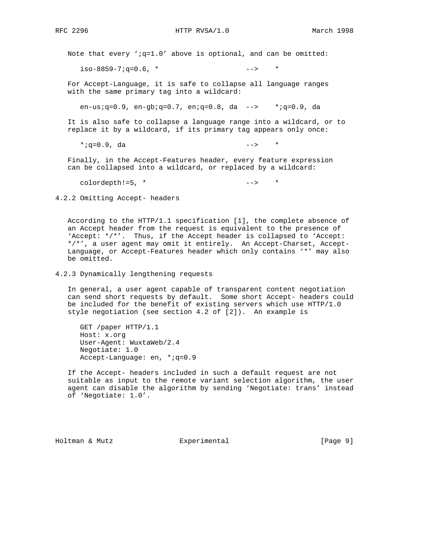Note that every ';q=1.0' above is optional, and can be omitted:

 $iso-8859-7; q=0.6$ , \*  $--->$  \*

 For Accept-Language, it is safe to collapse all language ranges with the same primary tag into a wildcard:

en-us;q=0.9, en-gb;q=0.7, en;q=0.8, da --> \*;q=0.9, da

 It is also safe to collapse a language range into a wildcard, or to replace it by a wildcard, if its primary tag appears only once:

 $*; q=0.9$ , da  $-->$  \*

 Finally, in the Accept-Features header, every feature expression can be collapsed into a wildcard, or replaced by a wildcard:

colordepth!=5, \* --> \*

4.2.2 Omitting Accept- headers

 According to the HTTP/1.1 specification [1], the complete absence of an Accept header from the request is equivalent to the presence of 'Accept: \*/\*'. Thus, if the Accept header is collapsed to 'Accept: \*/\*', a user agent may omit it entirely. An Accept-Charset, Accept- Language, or Accept-Features header which only contains '\*' may also be omitted.

4.2.3 Dynamically lengthening requests

 In general, a user agent capable of transparent content negotiation can send short requests by default. Some short Accept- headers could be included for the benefit of existing servers which use HTTP/1.0 style negotiation (see section 4.2 of [2]). An example is

 GET /paper HTTP/1.1 Host: x.org User-Agent: WuxtaWeb/2.4 Negotiate: 1.0 Accept-Language: en, \*;q=0.9

 If the Accept- headers included in such a default request are not suitable as input to the remote variant selection algorithm, the user agent can disable the algorithm by sending 'Negotiate: trans' instead of 'Negotiate: 1.0'.

Holtman & Mutz  $\text{Experimental}$  [Page 9]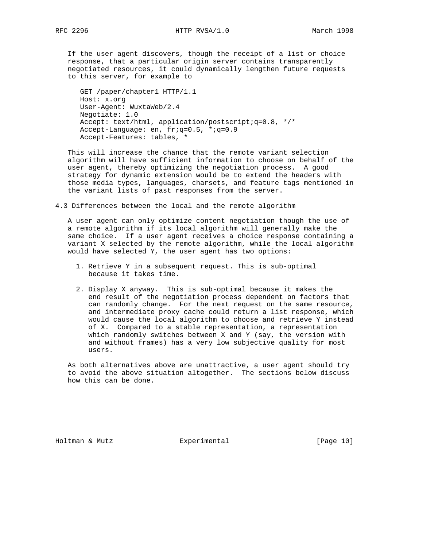If the user agent discovers, though the receipt of a list or choice response, that a particular origin server contains transparently negotiated resources, it could dynamically lengthen future requests to this server, for example to

 GET /paper/chapter1 HTTP/1.1 Host: x.org User-Agent: WuxtaWeb/2.4 Negotiate: 1.0 Accept: text/html, application/postscript;q=0.8, \*/\* Accept-Language: en, fr;q=0.5, \*;q=0.9 Accept-Features: tables, \*

 This will increase the chance that the remote variant selection algorithm will have sufficient information to choose on behalf of the user agent, thereby optimizing the negotiation process. A good strategy for dynamic extension would be to extend the headers with those media types, languages, charsets, and feature tags mentioned in the variant lists of past responses from the server.

4.3 Differences between the local and the remote algorithm

 A user agent can only optimize content negotiation though the use of a remote algorithm if its local algorithm will generally make the same choice. If a user agent receives a choice response containing a variant X selected by the remote algorithm, while the local algorithm would have selected Y, the user agent has two options:

- 1. Retrieve Y in a subsequent request. This is sub-optimal because it takes time.
- 2. Display X anyway. This is sub-optimal because it makes the end result of the negotiation process dependent on factors that can randomly change. For the next request on the same resource, and intermediate proxy cache could return a list response, which would cause the local algorithm to choose and retrieve Y instead of X. Compared to a stable representation, a representation which randomly switches between X and Y (say, the version with and without frames) has a very low subjective quality for most users.

 As both alternatives above are unattractive, a user agent should try to avoid the above situation altogether. The sections below discuss how this can be done.

Holtman & Mutz **Experimental** Experimental [Page 10]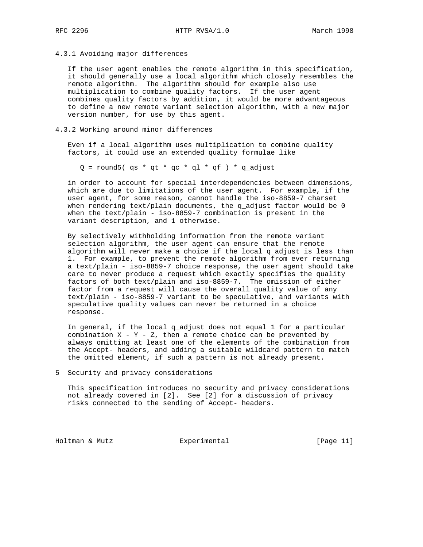4.3.1 Avoiding major differences

 If the user agent enables the remote algorithm in this specification, it should generally use a local algorithm which closely resembles the remote algorithm. The algorithm should for example also use multiplication to combine quality factors. If the user agent combines quality factors by addition, it would be more advantageous to define a new remote variant selection algorithm, with a new major version number, for use by this agent.

#### 4.3.2 Working around minor differences

 Even if a local algorithm uses multiplication to combine quality factors, it could use an extended quality formulae like

 $Q =$  round5( qs \* qt \* qc \* ql \* qf ) \* q\_adjust

 in order to account for special interdependencies between dimensions, which are due to limitations of the user agent. For example, if the user agent, for some reason, cannot handle the iso-8859-7 charset when rendering text/plain documents, the  $q$  adjust factor would be 0 when the text/plain - iso-8859-7 combination is present in the variant description, and 1 otherwise.

 By selectively withholding information from the remote variant selection algorithm, the user agent can ensure that the remote algorithm will never make a choice if the local  $q$ -adjust is less than 1. For example, to prevent the remote algorithm from ever returning a text/plain - iso-8859-7 choice response, the user agent should take care to never produce a request which exactly specifies the quality factors of both text/plain and iso-8859-7. The omission of either factor from a request will cause the overall quality value of any text/plain - iso-8859-7 variant to be speculative, and variants with speculative quality values can never be returned in a choice response.

 In general, if the local q\_adjust does not equal 1 for a particular combination  $X - Y - Z$ , then a remote choice can be prevented by always omitting at least one of the elements of the combination from the Accept- headers, and adding a suitable wildcard pattern to match the omitted element, if such a pattern is not already present.

5 Security and privacy considerations

 This specification introduces no security and privacy considerations not already covered in [2]. See [2] for a discussion of privacy risks connected to the sending of Accept- headers.

Holtman & Mutz **Experimental** Experimental [Page 11]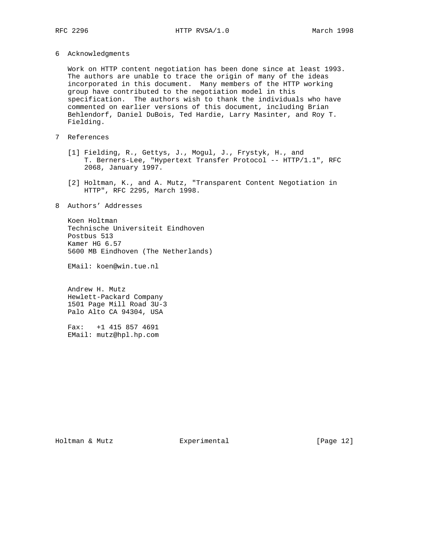6 Acknowledgments

 Work on HTTP content negotiation has been done since at least 1993. The authors are unable to trace the origin of many of the ideas incorporated in this document. Many members of the HTTP working group have contributed to the negotiation model in this specification. The authors wish to thank the individuals who have commented on earlier versions of this document, including Brian Behlendorf, Daniel DuBois, Ted Hardie, Larry Masinter, and Roy T. Fielding.

# 7 References

- [1] Fielding, R., Gettys, J., Mogul, J., Frystyk, H., and T. Berners-Lee, "Hypertext Transfer Protocol -- HTTP/1.1", RFC 2068, January 1997.
- [2] Holtman, K., and A. Mutz, "Transparent Content Negotiation in HTTP", RFC 2295, March 1998.
- 8 Authors' Addresses

 Koen Holtman Technische Universiteit Eindhoven Postbus 513 Kamer HG 6.57 5600 MB Eindhoven (The Netherlands)

EMail: koen@win.tue.nl

 Andrew H. Mutz Hewlett-Packard Company 1501 Page Mill Road 3U-3 Palo Alto CA 94304, USA

 Fax: +1 415 857 4691 EMail: mutz@hpl.hp.com

Holtman & Mutz **Experimental** Experimental [Page 12]